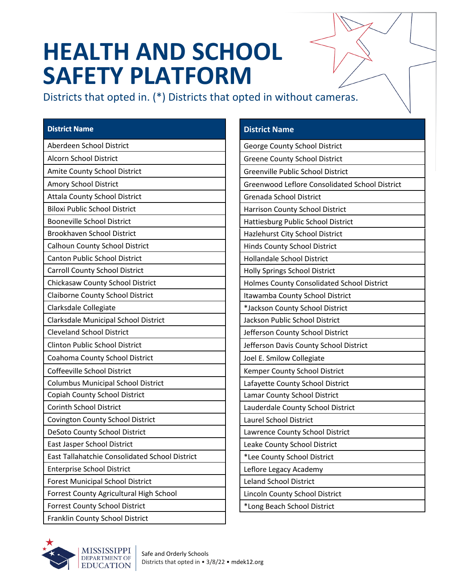# **HEALTH AND SCHOOL SAFETY PLATFORM**

Districts that opted in. (\*) Districts that opted in without cameras.

#### **District Name**

| Aberdeen School District                       |
|------------------------------------------------|
| <b>Alcorn School District</b>                  |
| <b>Amite County School District</b>            |
| Amory School District                          |
| <b>Attala County School District</b>           |
| <b>Biloxi Public School District</b>           |
| <b>Booneville School District</b>              |
| <b>Brookhaven School District</b>              |
| <b>Calhoun County School District</b>          |
| <b>Canton Public School District</b>           |
| <b>Carroll County School District</b>          |
| Chickasaw County School District               |
| <b>Claiborne County School District</b>        |
| Clarksdale Collegiate                          |
| Clarksdale Municipal School District           |
| <b>Cleveland School District</b>               |
| <b>Clinton Public School District</b>          |
| Coahoma County School District                 |
| Coffeeville School District                    |
| <b>Columbus Municipal School District</b>      |
| Copiah County School District                  |
| <b>Corinth School District</b>                 |
| Covington County School District               |
| DeSoto County School District                  |
| East Jasper School District                    |
| East Tallahatchie Consolidated School District |
| <b>Enterprise School District</b>              |
| <b>Forest Municipal School District</b>        |
| Forrest County Agricultural High School        |
| <b>Forrest County School District</b>          |
| Franklin County School District                |

#### **District Name**

George County School District Greene County School District Greenville Public School District Greenwood Leflore Consolidated School District Grenada School District Harrison County School District Hattiesburg Public School District Hazlehurst City School District Hinds County School District Hollandale School District Holly Springs School District Holmes County Consolidated School District Itawamba County School District \*Jackson County School District Jackson Public School District Jefferson County School District Jefferson Davis County School District Joel E. Smilow Collegiate Kemper County School District Lafayette County School District Lamar County School District Lauderdale County School District Laurel School District Lawrence County School District Leake County School District \*Lee County School District Leflore Legacy Academy Leland School District Lincoln County School District \*Long Beach School District

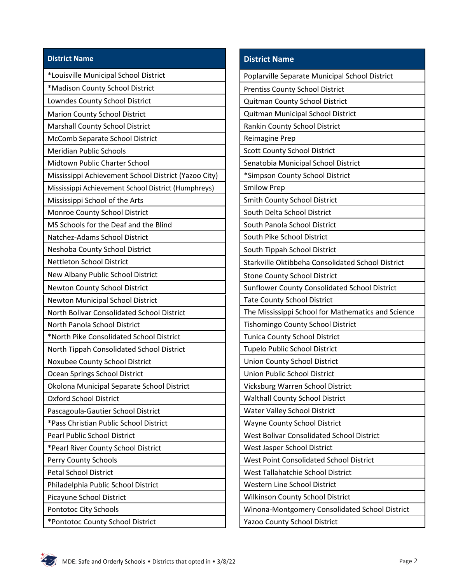### **District Name**

| *Madison County School District                      |
|------------------------------------------------------|
| Lowndes County School District                       |
| Marion County School District                        |
| Marshall County School District                      |
| McComb Separate School District                      |
| <b>Meridian Public Schools</b>                       |
| Midtown Public Charter School                        |
| Mississippi Achievement School District (Yazoo City) |
| Mississippi Achievement School District (Humphreys)  |
| Mississippi School of the Arts                       |
| Monroe County School District                        |
| MS Schools for the Deaf and the Blind                |
| Natchez-Adams School District                        |
| Neshoba County School District                       |
| <b>Nettleton School District</b>                     |
| New Albany Public School District                    |
| <b>Newton County School District</b>                 |
| <b>Newton Municipal School District</b>              |
| North Bolivar Consolidated School District           |
| North Panola School District                         |
| *North Pike Consolidated School District             |
|                                                      |
| North Tippah Consolidated School District            |
| Noxubee County School District                       |
| Ocean Springs School District                        |
| Okolona Municipal Separate School District           |
| Oxford School District                               |
| Pascagoula-Gautier School District                   |
| *Pass Christian Public School District               |
| <b>Pearl Public School District</b>                  |
| *Pearl River County School District                  |
| Perry County Schools                                 |
| <b>Petal School District</b>                         |
| Philadelphia Public School District                  |
| Picayune School District                             |
| Pontotoc City Schools                                |

\*Pontotoc County School District

## **District Name**

| Poplarville Separate Municipal School District     |
|----------------------------------------------------|
| <b>Prentiss County School District</b>             |
| Quitman County School District                     |
| Quitman Municipal School District                  |
| Rankin County School District                      |
| <b>Reimagine Prep</b>                              |
| <b>Scott County School District</b>                |
| Senatobia Municipal School District                |
| *Simpson County School District                    |
| <b>Smilow Prep</b>                                 |
| Smith County School District                       |
| South Delta School District                        |
| South Panola School District                       |
| South Pike School District                         |
| South Tippah School District                       |
| Starkville Oktibbeha Consolidated School District  |
| <b>Stone County School District</b>                |
| Sunflower County Consolidated School District      |
| <b>Tate County School District</b>                 |
| The Mississippi School for Mathematics and Science |
| Tishomingo County School District                  |
| <b>Tunica County School District</b>               |
| <b>Tupelo Public School District</b>               |
| <b>Union County School District</b>                |
| Union Public School District                       |
| Vicksburg Warren School District                   |
| <b>Walthall County School District</b>             |
| <b>Water Valley School District</b>                |
| <b>Wayne County School District</b>                |
| <b>West Bolivar Consolidated School District</b>   |
| West Jasper School District                        |
| <b>West Point Consolidated School District</b>     |
| West Tallahatchie School District                  |
| Western Line School District                       |
| <b>Wilkinson County School District</b>            |
| Winona-Montgomery Consolidated School District     |
| <b>Yazoo County School District</b>                |